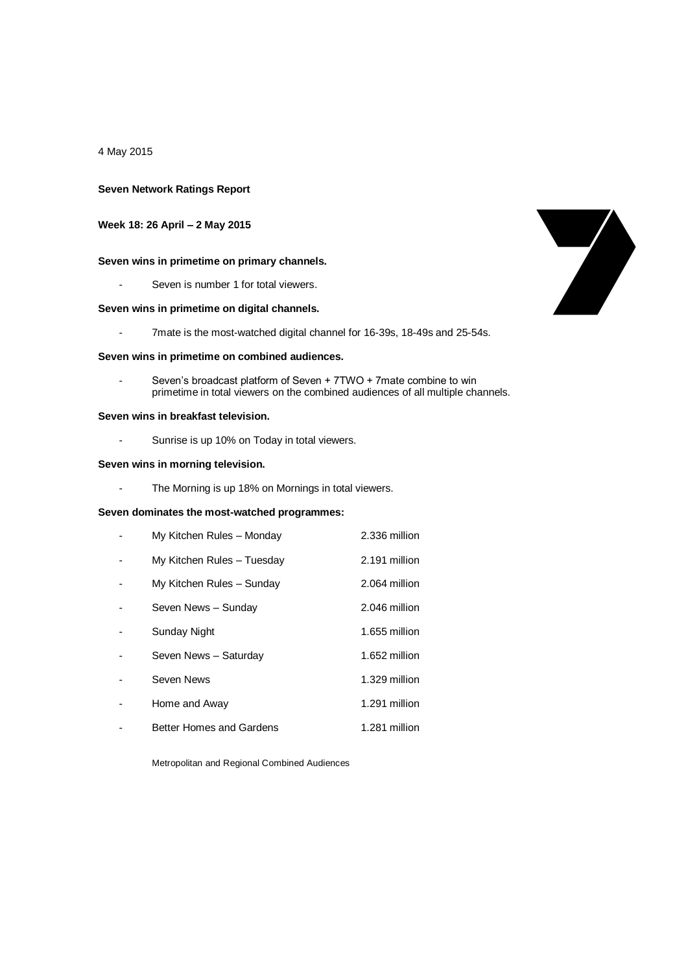4 May 2015

### **Seven Network Ratings Report**

## **Week 18: 26 April – 2 May 2015**

## **Seven wins in primetime on primary channels.**

Seven is number 1 for total viewers.

### **Seven wins in primetime on digital channels.**

- 7mate is the most-watched digital channel for 16-39s, 18-49s and 25-54s.

### **Seven wins in primetime on combined audiences.**

Seven's broadcast platform of Seven + 7TWO + 7mate combine to win primetime in total viewers on the combined audiences of all multiple channels.

### **Seven wins in breakfast television.**

- Sunrise is up 10% on Today in total viewers.

### **Seven wins in morning television.**

- The Morning is up 18% on Mornings in total viewers.

## **Seven dominates the most-watched programmes:**

| My Kitchen Rules - Monday  | 2.336 million |
|----------------------------|---------------|
| My Kitchen Rules - Tuesday | 2.191 million |
| My Kitchen Rules - Sunday  | 2.064 million |
| Seven News - Sunday        | 2.046 million |
| Sunday Night               | 1.655 million |
| Seven News - Saturday      | 1.652 million |
| Seven News                 | 1.329 million |
| Home and Away              | 1.291 million |
| Better Homes and Gardens   | 1.281 million |

Metropolitan and Regional Combined Audiences

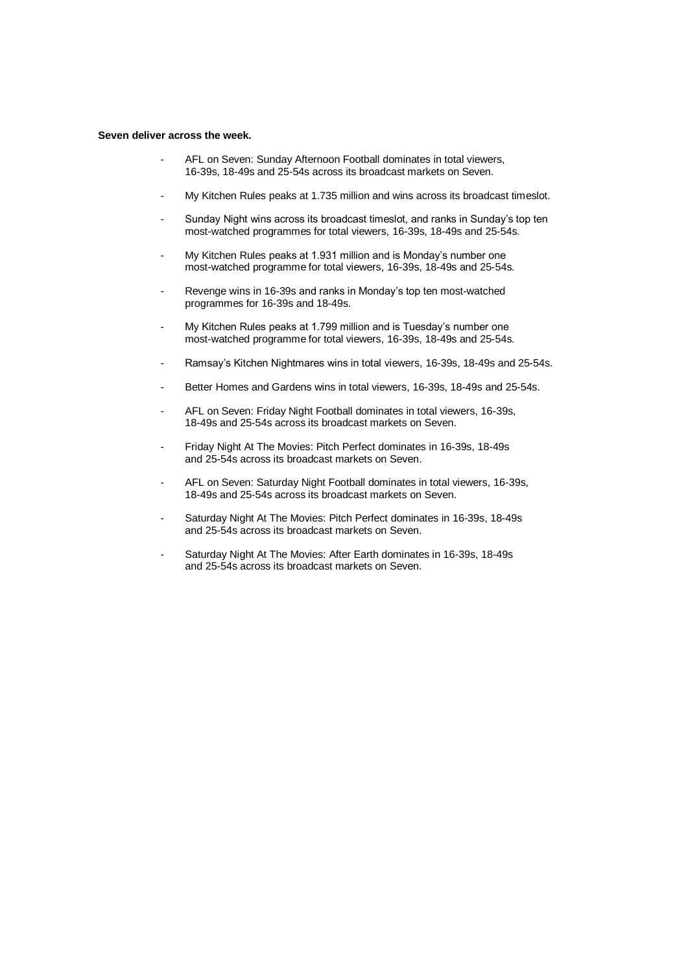#### **Seven deliver across the week.**

- AFL on Seven: Sunday Afternoon Football dominates in total viewers, 16-39s, 18-49s and 25-54s across its broadcast markets on Seven.
- My Kitchen Rules peaks at 1.735 million and wins across its broadcast timeslot.
- Sunday Night wins across its broadcast timeslot, and ranks in Sunday's top ten most-watched programmes for total viewers, 16-39s, 18-49s and 25-54s.
- My Kitchen Rules peaks at 1.931 million and is Monday's number one most-watched programme for total viewers, 16-39s, 18-49s and 25-54s.
- Revenge wins in 16-39s and ranks in Monday's top ten most-watched programmes for 16-39s and 18-49s.
- My Kitchen Rules peaks at 1.799 million and is Tuesday's number one most-watched programme for total viewers, 16-39s, 18-49s and 25-54s.
- Ramsay's Kitchen Nightmares wins in total viewers, 16-39s, 18-49s and 25-54s.
- Better Homes and Gardens wins in total viewers, 16-39s, 18-49s and 25-54s.
- AFL on Seven: Friday Night Football dominates in total viewers, 16-39s, 18-49s and 25-54s across its broadcast markets on Seven.
- Friday Night At The Movies: Pitch Perfect dominates in 16-39s, 18-49s and 25-54s across its broadcast markets on Seven.
- AFL on Seven: Saturday Night Football dominates in total viewers, 16-39s, 18-49s and 25-54s across its broadcast markets on Seven.
- Saturday Night At The Movies: Pitch Perfect dominates in 16-39s, 18-49s and 25-54s across its broadcast markets on Seven.
- Saturday Night At The Movies: After Earth dominates in 16-39s, 18-49s and 25-54s across its broadcast markets on Seven.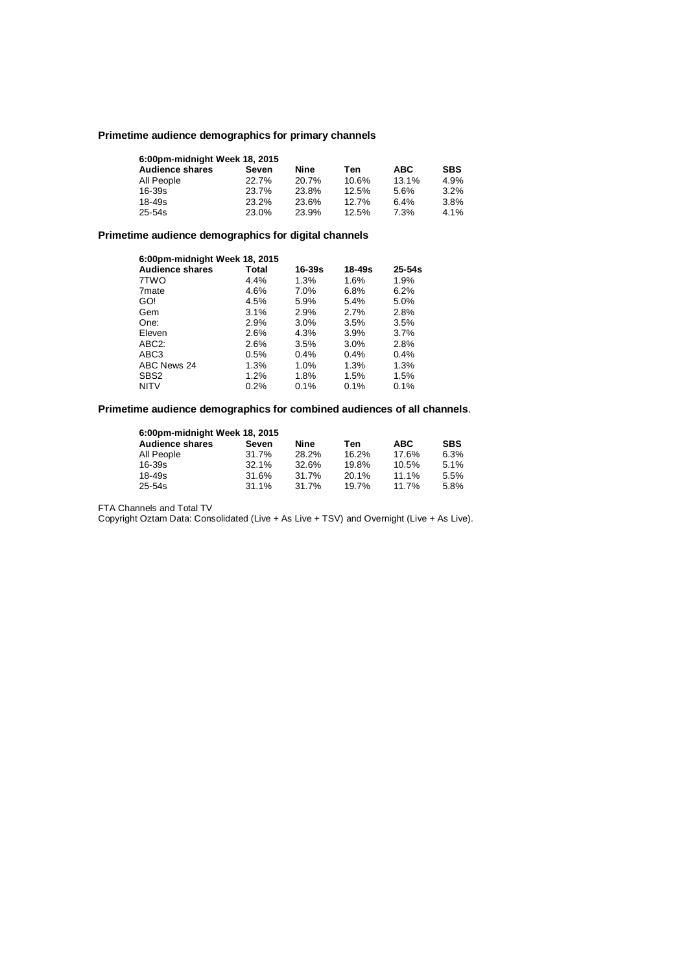# **Primetime audience demographics for primary channels**

| 6:00pm-midnight Week 18, 2015 |       |       |       |            |            |
|-------------------------------|-------|-------|-------|------------|------------|
| <b>Audience shares</b>        | Seven | Nine  | Ten   | <b>ABC</b> | <b>SBS</b> |
| All People                    | 22.7% | 20.7% | 10.6% | 13.1%      | 4.9%       |
| 16-39s                        | 23.7% | 23.8% | 12.5% | 5.6%       | 3.2%       |
| 18-49s                        | 23.2% | 23.6% | 12.7% | 6.4%       | 3.8%       |
| $25 - 54s$                    | 23.0% | 23.9% | 12.5% | 7.3%       | 4.1%       |

# **Primetime audience demographics for digital channels**

| 6:00pm-midnight Week 18, 2015 |         |            |        |            |  |
|-------------------------------|---------|------------|--------|------------|--|
| <b>Audience shares</b>        | Total   | $16 - 39s$ | 18-49s | $25 - 54s$ |  |
| 7TWO                          | 4.4%    | 1.3%       | 1.6%   | 1.9%       |  |
| 7 <sub>mate</sub>             | 4.6%    | 7.0%       | 6.8%   | 6.2%       |  |
| GO!                           | 4.5%    | 5.9%       | 5.4%   | 5.0%       |  |
| Gem                           | 3.1%    | 2.9%       | 2.7%   | 2.8%       |  |
| One:                          | 2.9%    | 3.0%       | 3.5%   | 3.5%       |  |
| Eleven                        | 2.6%    | 4.3%       | 3.9%   | 3.7%       |  |
| ABC <sub>2</sub> :            | 2.6%    | 3.5%       | 3.0%   | 2.8%       |  |
| ABC3                          | 0.5%    | 0.4%       | 0.4%   | 0.4%       |  |
| ABC News 24                   | 1.3%    | 1.0%       | 1.3%   | 1.3%       |  |
| SBS <sub>2</sub>              | 1.2%    | 1.8%       | 1.5%   | 1.5%       |  |
| <b>NITV</b>                   | $0.2\%$ | 0.1%       | 0.1%   | 0.1%       |  |

# **Primetime audience demographics for combined audiences of all channels**.

| 6:00pm-midnight Week 18, 2015 |          |       |       |            |            |
|-------------------------------|----------|-------|-------|------------|------------|
| <b>Audience shares</b>        | Seven    | Nine  | Ten   | <b>ABC</b> | <b>SBS</b> |
| All People                    | 31.7%    | 28.2% | 16.2% | 17.6%      | 6.3%       |
| 16-39s                        | 32.1%    | 32.6% | 19.8% | 10.5%      | 5.1%       |
| 18-49s                        | 31.6%    | 31.7% | 20.1% | 11.1%      | 5.5%       |
| $25 - 54s$                    | $31.1\%$ | 31.7% | 19.7% | 11.7%      | 5.8%       |

FTA Channels and Total TV

Copyright Oztam Data: Consolidated (Live + As Live + TSV) and Overnight (Live + As Live).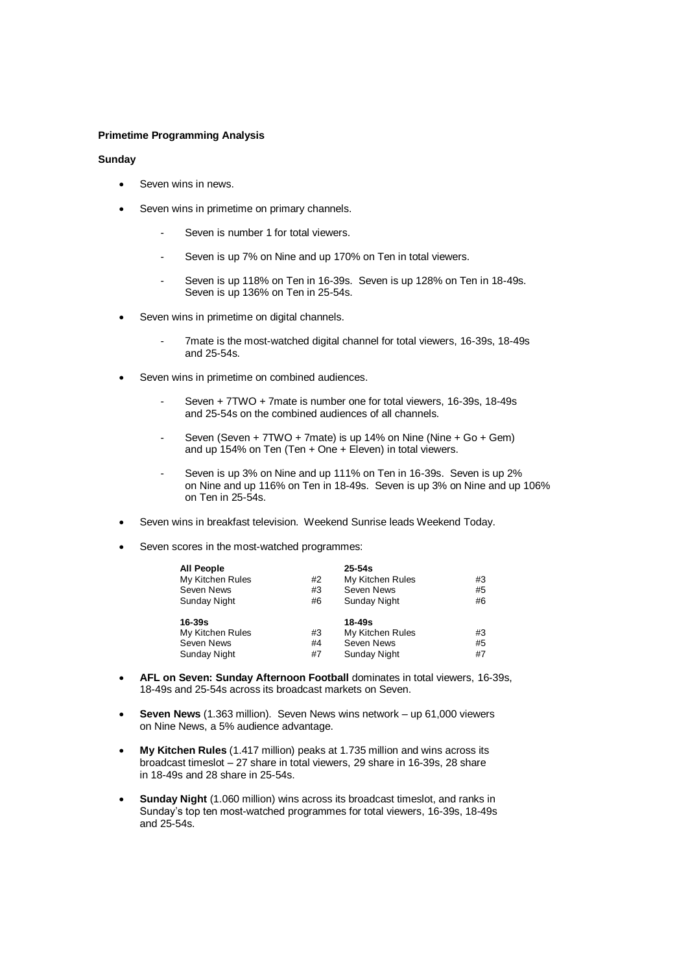## **Primetime Programming Analysis**

### **Sunday**

- Seven wins in news.
- Seven wins in primetime on primary channels.
	- Seven is number 1 for total viewers.
	- Seven is up 7% on Nine and up 170% on Ten in total viewers.
	- Seven is up 118% on Ten in 16-39s. Seven is up 128% on Ten in 18-49s. Seven is up 136% on Ten in 25-54s.
- Seven wins in primetime on digital channels.
	- 7mate is the most-watched digital channel for total viewers, 16-39s, 18-49s and 25-54s.
- Seven wins in primetime on combined audiences.
	- Seven + 7TWO + 7mate is number one for total viewers, 16-39s, 18-49s and 25-54s on the combined audiences of all channels.
	- Seven (Seven  $+ 7TWO + 7m$ ate) is up 14% on Nine (Nine  $+ Go + Gem$ ) and up 154% on Ten (Ten + One + Eleven) in total viewers.
	- Seven is up 3% on Nine and up 111% on Ten in 16-39s. Seven is up 2% on Nine and up 116% on Ten in 18-49s. Seven is up 3% on Nine and up 106% on Ten in 25-54s.
- Seven wins in breakfast television. Weekend Sunrise leads Weekend Today.
- Seven scores in the most-watched programmes:

| <b>All People</b>   |    | $25 - 54s$          |    |
|---------------------|----|---------------------|----|
| My Kitchen Rules    | #2 | My Kitchen Rules    | #3 |
| Seven News          | #3 | Seven News          | #5 |
| <b>Sunday Night</b> | #6 | <b>Sunday Night</b> | #6 |
| $16 - 39s$          |    | $18 - 49s$          |    |
| My Kitchen Rules    | #3 | My Kitchen Rules    | #3 |
| Seven News          | #4 | Seven News          | #5 |
| <b>Sunday Night</b> | #7 | Sunday Night        | #7 |

- **AFL on Seven: Sunday Afternoon Football** dominates in total viewers, 16-39s, 18-49s and 25-54s across its broadcast markets on Seven.
- **Seven News** (1.363 million). Seven News wins network up 61,000 viewers on Nine News, a 5% audience advantage.
- **My Kitchen Rules** (1.417 million) peaks at 1.735 million and wins across its broadcast timeslot – 27 share in total viewers, 29 share in 16-39s, 28 share in 18-49s and 28 share in 25-54s.
- **Sunday Night** (1.060 million) wins across its broadcast timeslot, and ranks in Sunday's top ten most-watched programmes for total viewers, 16-39s, 18-49s and 25-54s.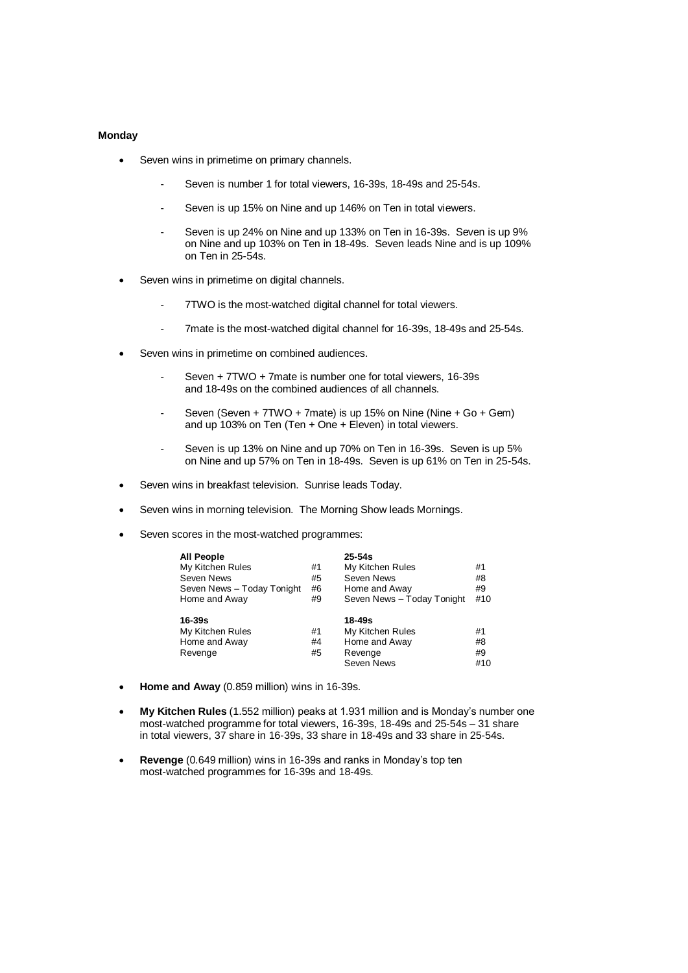## **Monday**

- Seven wins in primetime on primary channels.
	- Seven is number 1 for total viewers, 16-39s, 18-49s and 25-54s.
	- Seven is up 15% on Nine and up 146% on Ten in total viewers.
	- Seven is up 24% on Nine and up 133% on Ten in 16-39s. Seven is up 9% on Nine and up 103% on Ten in 18-49s. Seven leads Nine and is up 109% on Ten in 25-54s.
- Seven wins in primetime on digital channels.
	- 7TWO is the most-watched digital channel for total viewers.
	- 7mate is the most-watched digital channel for 16-39s, 18-49s and 25-54s.
- Seven wins in primetime on combined audiences.
	- Seven + 7TWO + 7mate is number one for total viewers, 16-39s and 18-49s on the combined audiences of all channels.
	- Seven (Seven + 7TWO + 7mate) is up 15% on Nine (Nine + Go + Gem) and up 103% on Ten (Ten + One + Eleven) in total viewers.
	- Seven is up 13% on Nine and up 70% on Ten in 16-39s. Seven is up 5% on Nine and up 57% on Ten in 18-49s. Seven is up 61% on Ten in 25-54s.
- Seven wins in breakfast television. Sunrise leads Today.
- Seven wins in morning television. The Morning Show leads Mornings.
- Seven scores in the most-watched programmes:

| <b>All People</b>          |    | $25 - 54s$                 |     |
|----------------------------|----|----------------------------|-----|
| My Kitchen Rules           | #1 | My Kitchen Rules           | #1  |
| Seven News                 | #5 | Seven News                 | #8  |
| Seven News - Today Tonight | #6 | Home and Away              | #9  |
| Home and Away              | #9 | Seven News - Today Tonight | #10 |
| $16 - 39s$                 |    | 18-49s                     |     |
| My Kitchen Rules           | #1 | My Kitchen Rules           | #1  |
| Home and Away              | #4 | Home and Away              | #8  |
| Revenge                    | #5 | Revenge                    | #9  |
|                            |    | Seven News                 | #10 |

- **Home and Away** (0.859 million) wins in 16-39s.
- **My Kitchen Rules** (1.552 million) peaks at 1.931 million and is Monday's number one most-watched programme for total viewers, 16-39s, 18-49s and 25-54s – 31 share in total viewers, 37 share in 16-39s, 33 share in 18-49s and 33 share in 25-54s.
- **Revenge** (0.649 million) wins in 16-39s and ranks in Monday's top ten most-watched programmes for 16-39s and 18-49s.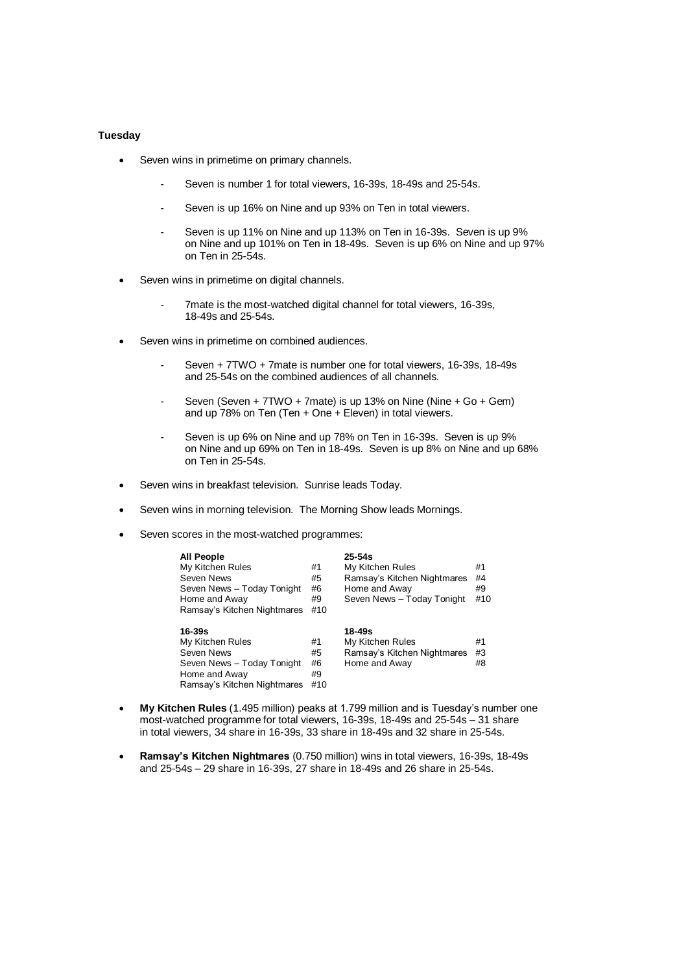## **Tuesday**

- Seven wins in primetime on primary channels.
	- Seven is number 1 for total viewers, 16-39s, 18-49s and 25-54s.
	- Seven is up 16% on Nine and up 93% on Ten in total viewers.
	- Seven is up 11% on Nine and up 113% on Ten in 16-39s. Seven is up 9% on Nine and up 101% on Ten in 18-49s. Seven is up 6% on Nine and up 97% on Ten in 25-54s.
- Seven wins in primetime on digital channels.
	- 7mate is the most-watched digital channel for total viewers, 16-39s, 18-49s and 25-54s.
- Seven wins in primetime on combined audiences.
	- Seven + 7TWO + 7mate is number one for total viewers, 16-39s, 18-49s and 25-54s on the combined audiences of all channels.
	- Seven (Seven + 7TWO + 7mate) is up 13% on Nine (Nine + Go + Gem) and up 78% on Ten (Ten + One + Eleven) in total viewers.
	- Seven is up 6% on Nine and up 78% on Ten in 16-39s. Seven is up 9% on Nine and up 69% on Ten in 18-49s. Seven is up 8% on Nine and up 68% on Ten in 25-54s.
- Seven wins in breakfast television. Sunrise leads Today.
- Seven wins in morning television. The Morning Show leads Mornings.
- Seven scores in the most-watched programmes:

| <b>All People</b><br>My Kitchen Rules<br>Seven News<br>Seven News - Today Tonight<br>Home and Away<br>Ramsay's Kitchen Nightmares | #1<br>#5<br>#6<br>#9<br>#10 | $25 - 54s$<br>My Kitchen Rules<br>Ramsay's Kitchen Nightmares<br>Home and Away<br>Seven News - Today Tonight | #1<br>#4<br>#9<br>#10 |
|-----------------------------------------------------------------------------------------------------------------------------------|-----------------------------|--------------------------------------------------------------------------------------------------------------|-----------------------|
| $16 - 39s$<br>My Kitchen Rules<br>Seven News<br>Seven News - Today Tonight<br>Home and Away<br>Ramsay's Kitchen Nightmares        | #1<br>#5<br>#6<br>#9<br>#10 | 18-49s<br>My Kitchen Rules<br>Ramsay's Kitchen Nightmares<br>Home and Away                                   | #1<br>#3<br>#8        |

- **My Kitchen Rules** (1.495 million) peaks at 1.799 million and is Tuesday's number one most-watched programme for total viewers, 16-39s, 18-49s and 25-54s – 31 share in total viewers, 34 share in 16-39s, 33 share in 18-49s and 32 share in 25-54s.
- **Ramsay's Kitchen Nightmares** (0.750 million) wins in total viewers, 16-39s, 18-49s and 25-54s – 29 share in 16-39s, 27 share in 18-49s and 26 share in 25-54s.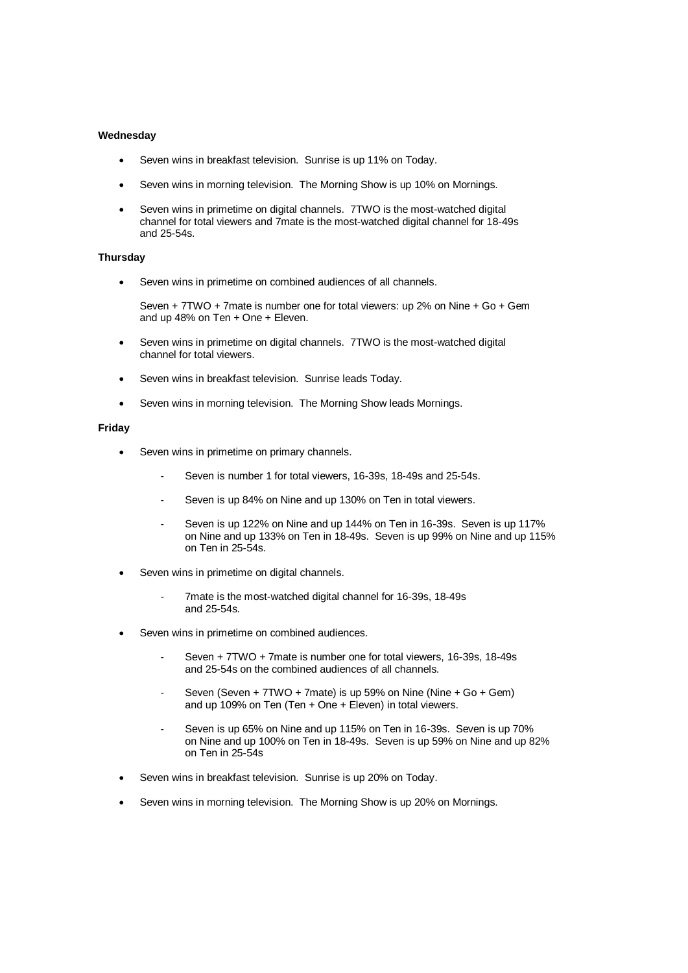## **Wednesday**

- Seven wins in breakfast television. Sunrise is up 11% on Today.
- Seven wins in morning television. The Morning Show is up 10% on Mornings.
- Seven wins in primetime on digital channels. 7TWO is the most-watched digital channel for total viewers and 7mate is the most-watched digital channel for 18-49s and 25-54s.

### **Thursday**

Seven wins in primetime on combined audiences of all channels.

Seven + 7TWO + 7mate is number one for total viewers: up 2% on Nine + Go + Gem and up 48% on Ten + One + Eleven.

- Seven wins in primetime on digital channels. 7TWO is the most-watched digital channel for total viewers.
- Seven wins in breakfast television. Sunrise leads Today.
- Seven wins in morning television. The Morning Show leads Mornings.

### **Friday**

- Seven wins in primetime on primary channels.
	- Seven is number 1 for total viewers, 16-39s, 18-49s and 25-54s.
	- Seven is up 84% on Nine and up 130% on Ten in total viewers.
	- Seven is up 122% on Nine and up 144% on Ten in 16-39s. Seven is up 117% on Nine and up 133% on Ten in 18-49s. Seven is up 99% on Nine and up 115% on Ten in 25-54s.
- Seven wins in primetime on digital channels.
	- 7mate is the most-watched digital channel for 16-39s, 18-49s and 25-54s.
- Seven wins in primetime on combined audiences.
	- Seven + 7TWO + 7mate is number one for total viewers, 16-39s, 18-49s and 25-54s on the combined audiences of all channels.
	- Seven (Seven + 7TWO + 7mate) is up 59% on Nine (Nine + Go + Gem) and up 109% on Ten (Ten + One + Eleven) in total viewers.
	- Seven is up 65% on Nine and up 115% on Ten in 16-39s. Seven is up 70% on Nine and up 100% on Ten in 18-49s. Seven is up 59% on Nine and up 82% on Ten in 25-54s
- Seven wins in breakfast television. Sunrise is up 20% on Today.
- Seven wins in morning television. The Morning Show is up 20% on Mornings.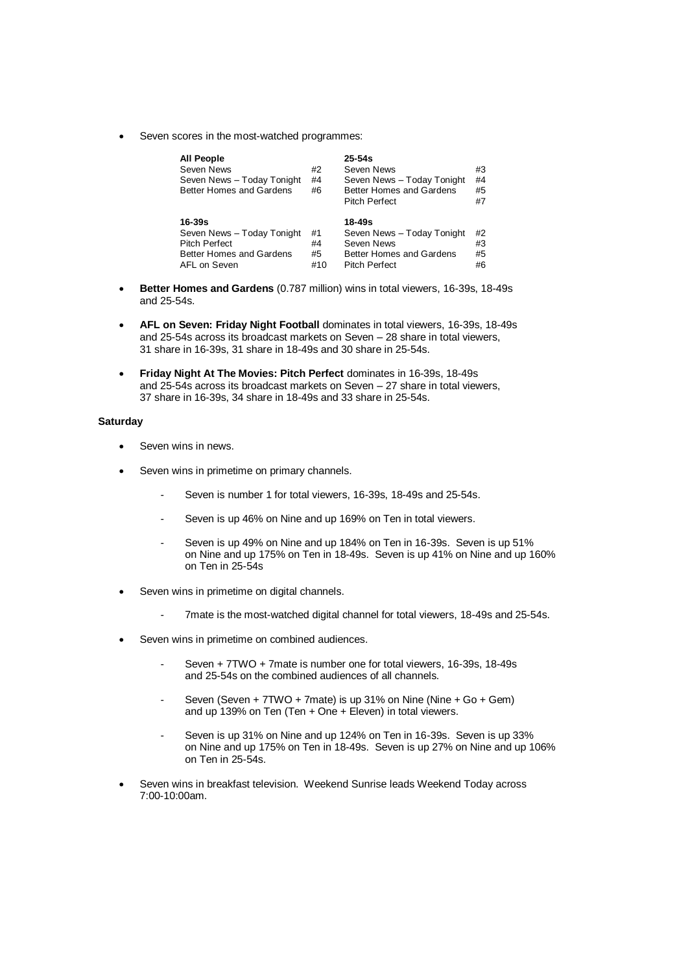Seven scores in the most-watched programmes:

| <b>All People</b>               |    | $25 - 54s$                      |    |
|---------------------------------|----|---------------------------------|----|
| Seven News                      | #2 | Seven News                      | #3 |
| Seven News - Today Tonight      | #4 | Seven News - Today Tonight      | #4 |
| <b>Better Homes and Gardens</b> | #6 | Better Homes and Gardens        | #5 |
|                                 |    | <b>Pitch Perfect</b>            | #7 |
|                                 |    |                                 |    |
|                                 |    |                                 |    |
| 16-39s                          |    | 18-49s                          |    |
| Seven News - Today Tonight      | #1 | Seven News - Today Tonight      | #2 |
| <b>Pitch Perfect</b>            | #4 | Seven News                      | #3 |
| <b>Better Homes and Gardens</b> | #5 | <b>Better Homes and Gardens</b> | #5 |

- **Better Homes and Gardens** (0.787 million) wins in total viewers, 16-39s, 18-49s and 25-54s.
- **AFL on Seven: Friday Night Football** dominates in total viewers, 16-39s, 18-49s and 25-54s across its broadcast markets on Seven – 28 share in total viewers, 31 share in 16-39s, 31 share in 18-49s and 30 share in 25-54s.
- **Friday Night At The Movies: Pitch Perfect** dominates in 16-39s, 18-49s and 25-54s across its broadcast markets on Seven – 27 share in total viewers, 37 share in 16-39s, 34 share in 18-49s and 33 share in 25-54s.

### **Saturday**

- Seven wins in news.
- Seven wins in primetime on primary channels.
	- Seven is number 1 for total viewers, 16-39s, 18-49s and 25-54s.
	- Seven is up 46% on Nine and up 169% on Ten in total viewers.
	- Seven is up 49% on Nine and up 184% on Ten in 16-39s. Seven is up 51% on Nine and up 175% on Ten in 18-49s. Seven is up 41% on Nine and up 160% on Ten in 25-54s
- Seven wins in primetime on digital channels.
	- 7mate is the most-watched digital channel for total viewers, 18-49s and 25-54s.
- Seven wins in primetime on combined audiences.
	- Seven + 7TWO + 7mate is number one for total viewers, 16-39s, 18-49s and 25-54s on the combined audiences of all channels.
	- Seven (Seven +  $7TWO + 7m$ ate) is up 31% on Nine (Nine + Go + Gem) and up 139% on Ten (Ten + One + Eleven) in total viewers.
	- Seven is up 31% on Nine and up 124% on Ten in 16-39s. Seven is up 33% on Nine and up 175% on Ten in 18-49s. Seven is up 27% on Nine and up 106% on Ten in 25-54s.
- Seven wins in breakfast television. Weekend Sunrise leads Weekend Today across 7:00-10:00am.